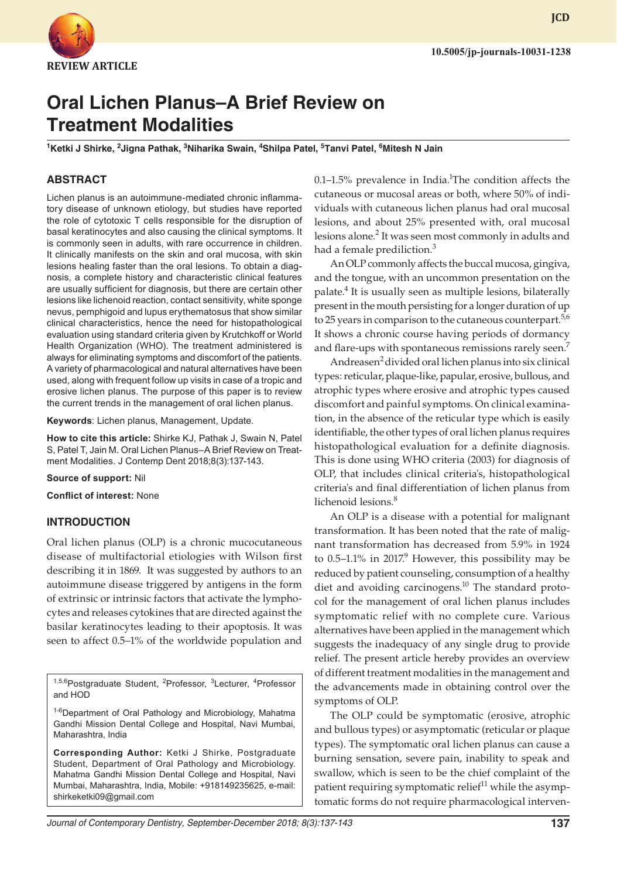

**JCD**

# **Oral Lichen Planus–A Brief Review on Treatment Modalities**

<sup>1</sup>Ketki J Shirke, <sup>2</sup>Jigna Pathak, <sup>3</sup>Niharika Swain, <sup>4</sup>Shilpa Patel, <sup>5</sup>Tanvi Patel, <sup>6</sup>Mitesh N Jain

# **ABSTRACT**

Lichen planus is an autoimmune-mediated chronic inflammatory disease of unknown etiology, but studies have reported the role of cytotoxic T cells responsible for the disruption of basal keratinocytes and also causing the clinical symptoms. It is commonly seen in adults, with rare occurrence in children. It clinically manifests on the skin and oral mucosa, with skin lesions healing faster than the oral lesions. To obtain a diagnosis, a complete history and characteristic clinical features are usually sufficient for diagnosis, but there are certain other lesions like lichenoid reaction, contact sensitivity, white sponge nevus, pemphigoid and lupus erythematosus that show similar clinical characteristics, hence the need for histopathological evaluation using standard criteria given by Krutchkoff or World Health Organization (WHO). The treatment administered is always for eliminating symptoms and discomfort of the patients. A variety of pharmacological and natural alternatives have been used, along with frequent follow up visits in case of a tropic and erosive lichen planus. The purpose of this paper is to review the current trends in the management of oral lichen planus.

**Keywords**: Lichen planus, Management, Update.

**How to cite this article:** Shirke KJ, Pathak J, Swain N, Patel S, Patel T, Jain M. Oral Lichen Planus–A Brief Review on Treatment Modalities. J Contemp Dent 2018;8(3):137-143.

**Source of support:** Nil

**Conflict of interest:** None

#### **INTRODUCTION**

Oral lichen planus (OLP) is a chronic mucocutaneous disease of multifactorial etiologies with Wilson first describing it in 1869. It was suggested by authors to an autoimmune disease triggered by antigens in the form of extrinsic or intrinsic factors that activate the lymphocytes and releases cytokines that are directed against the basilar keratinocytes leading to their apoptosis. It was seen to affect 0.5–1% of the worldwide population and

<sup>1,5,6</sup>Postgraduate Student, <sup>2</sup>Professor, <sup>3</sup>Lecturer, <sup>4</sup>Professor and HOD

1-6Department of Oral Pathology and Microbiology, Mahatma Gandhi Mission Dental College and Hospital, Navi Mumbai, Maharashtra, India

**Corresponding Author:** Ketki J Shirke, Postgraduate Student, Department of Oral Pathology and Microbiology. Mahatma Gandhi Mission Dental College and Hospital, Navi Mumbai, Maharashtra, India, Mobile: +918149235625, e-mail: shirkeketki09@gmail.com

 $0.1-1.5\%$  prevalence in India.<sup>1</sup>The condition affects the cutaneous or mucosal areas or both, where 50% of individuals with cutaneous lichen planus had oral mucosal lesions, and about 25% presented with, oral mucosal lesions alone.<sup>2</sup> It was seen most commonly in adults and had a female prediliction.<sup>3</sup>

An OLP commonly affects the buccal mucosa, gingiva, and the tongue, with an uncommon presentation on the palate.<sup>4</sup> It is usually seen as multiple lesions, bilaterally present in the mouth persisting for a longer duration of up to 25 years in comparison to the cutaneous counterpart.<sup>5,6</sup> It shows a chronic course having periods of dormancy and flare-ups with spontaneous remissions rarely seen.<sup>7</sup>

Andreasen<sup>2</sup> divided oral lichen planus into six clinical types: reticular, plaque-like, papular, erosive, bullous, and atrophic types where erosive and atrophic types caused discomfort and painful symptoms. On clinical examination, in the absence of the reticular type which is easily identifiable, the other types of oral lichen planus requires histopathological evaluation for a definite diagnosis. This is done using WHO criteria (2003) for diagnosis of OLP, that includes clinical criteria's, histopathological criteria's and final differentiation of lichen planus from lichenoid lesions.<sup>8</sup>

An OLP is a disease with a potential for malignant transformation. It has been noted that the rate of malignant transformation has decreased from 5.9% in 1924 to  $0.5$ –1.1% in 2017.<sup>9</sup> However, this possibility may be reduced by patient counseling, consumption of a healthy diet and avoiding carcinogens. $^{10}$  The standard protocol for the management of oral lichen planus includes symptomatic relief with no complete cure. Various alternatives have been applied in the management which suggests the inadequacy of any single drug to provide relief. The present article hereby provides an overview of different treatment modalities in the management and the advancements made in obtaining control over the symptoms of OLP.

The OLP could be symptomatic (erosive, atrophic and bullous types) or asymptomatic (reticular or plaque types). The symptomatic oral lichen planus can cause a burning sensation, severe pain, inability to speak and swallow, which is seen to be the chief complaint of the patient requiring symptomatic relief<sup>11</sup> while the asymptomatic forms do not require pharmacological interven-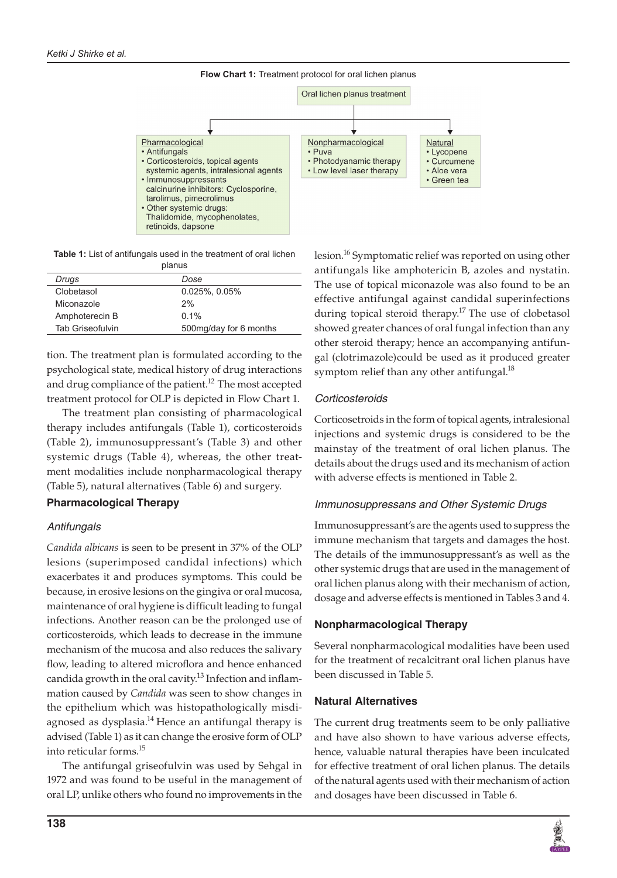

**Table 1:** List of antifungals used in the treatment of oral lichen planus

| Dose                   |
|------------------------|
| $0.025\%$ , $0.05\%$   |
| 2%                     |
| $0.1\%$                |
| 500mg/day for 6 months |
|                        |

tion. The treatment plan is formulated according to the psychological state, medical history of drug interactions and drug compliance of the patient.<sup>12</sup> The most accepted treatment protocol for OLP is depicted in Flow Chart 1.

The treatment plan consisting of pharmacological therapy includes antifungals (Table 1), corticosteroids (Table 2), immunosuppressant's (Table 3) and other systemic drugs (Table 4), whereas, the other treatment modalities include nonpharmacological therapy (Table 5), natural alternatives (Table 6) and surgery.

## **Pharmacological Therapy**

# *Antifungals*

*Candida albicans* is seen to be present in 37% of the OLP lesions (superimposed candidal infections) which exacerbates it and produces symptoms. This could be because, in erosive lesions on the gingiva or oral mucosa, maintenance of oral hygiene is difficult leading to fungal infections. Another reason can be the prolonged use of corticosteroids, which leads to decrease in the immune mechanism of the mucosa and also reduces the salivary flow, leading to altered microflora and hence enhanced candida growth in the oral cavity.<sup>13</sup> Infection and inflammation caused by *Candida* was seen to show changes in the epithelium which was histopathologically misdiagnosed as dysplasia.<sup>14</sup> Hence an antifungal therapy is advised (Table 1) as it can change the erosive form of OLP into reticular forms.15

The antifungal griseofulvin was used by Sehgal in 1972 and was found to be useful in the management of oral LP, unlike others who found no improvements in the lesion.<sup>16</sup> Symptomatic relief was reported on using other antifungals like amphotericin B, azoles and nystatin. The use of topical miconazole was also found to be an effective antifungal against candidal superinfections during topical steroid therapy.<sup>17</sup> The use of clobetasol showed greater chances of oral fungal infection than any other steroid therapy; hence an accompanying antifungal (clotrimazole)could be used as it produced greater symptom relief than any other antifungal. $^{18}$ 

# *Corticosteroids*

Corticosetroids in the form of topical agents, intralesional injections and systemic drugs is considered to be the mainstay of the treatment of oral lichen planus. The details about the drugs used and its mechanism of action with adverse effects is mentioned in Table 2.

# *Immunosuppressans and Other Systemic Drugs*

Immunosuppressant's are the agents used to suppress the immune mechanism that targets and damages the host. The details of the immunosuppressant's as well as the other systemic drugs that are used in the management of oral lichen planus along with their mechanism of action, dosage and adverse effects is mentioned in Tables 3 and 4.

## **Nonpharmacological Therapy**

Several nonpharmacological modalities have been used for the treatment of recalcitrant oral lichen planus have been discussed in Table 5.

# **Natural Alternatives**

The current drug treatments seem to be only palliative and have also shown to have various adverse effects, hence, valuable natural therapies have been inculcated for effective treatment of oral lichen planus. The details of the natural agents used with their mechanism of action and dosages have been discussed in Table 6.

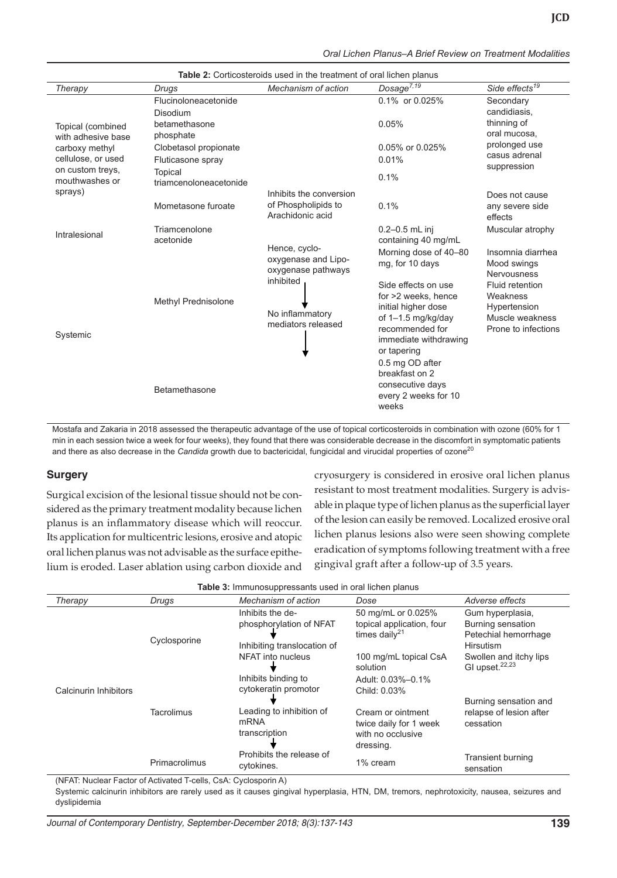|  |  |  | Oral Lichen Planus–A Brief Review on Treatment Modalities |  |  |
|--|--|--|-----------------------------------------------------------|--|--|
|--|--|--|-----------------------------------------------------------|--|--|

| Therapy                                 | Drugs                                      | <b>TADIC 4.</b> OURCOSICIOIDS BOCD IN THE REGRITCHEOF OR HONOR PRINTING<br>Mechanism of action | Dosage $\overline{7,19}$                                                                                                    | Side effects <sup>19</sup>                                                |
|-----------------------------------------|--------------------------------------------|------------------------------------------------------------------------------------------------|-----------------------------------------------------------------------------------------------------------------------------|---------------------------------------------------------------------------|
|                                         | Flucinoloneacetonide<br>Disodium           |                                                                                                | 0.1% or 0.025%                                                                                                              | Secondary<br>candidiasis,                                                 |
| Topical (combined<br>with adhesive base | betamethasone<br>phosphate                 |                                                                                                | 0.05%                                                                                                                       | thinning of<br>oral mucosa,                                               |
| carboxy methyl<br>cellulose, or used    | Clobetasol propionate<br>Fluticasone spray |                                                                                                | 0.05% or 0.025%<br>0.01%                                                                                                    | prolonged use<br>casus adrenal                                            |
| on custom trevs.<br>mouthwashes or      | Topical<br>triamcenoloneacetonide          |                                                                                                | 0.1%                                                                                                                        | suppression                                                               |
| sprays)                                 | Mometasone furoate                         | Inhibits the conversion<br>of Phospholipids to<br>Arachidonic acid                             | 0.1%                                                                                                                        | Does not cause<br>any severe side<br>effects                              |
| Intralesional                           | Triamcenolone<br>acetonide                 | Hence, cyclo-                                                                                  | $0.2 - 0.5$ mL inj<br>containing 40 mg/mL                                                                                   | Muscular atrophy                                                          |
|                                         |                                            | oxygenase and Lipo-<br>oxygenase pathways<br>inhibited                                         | Morning dose of 40-80<br>mg, for 10 days<br>Side effects on use                                                             | Insomnia diarrhea<br>Mood swings<br><b>Nervousness</b><br>Fluid retention |
| Systemic                                | <b>Methyl Prednisolone</b>                 | No inflammatory<br>mediators released                                                          | for >2 weeks, hence<br>initial higher dose<br>of 1-1.5 mg/kg/day<br>recommended for<br>immediate withdrawing<br>or tapering | Weakness<br>Hypertension<br>Muscle weakness<br>Prone to infections        |
|                                         | Betamethasone                              |                                                                                                | 0.5 mg OD after<br>breakfast on 2<br>consecutive days<br>every 2 weeks for 10<br>weeks                                      |                                                                           |

**Table 2:** Corticosteroids used in the treatment of oral lichen planus

Mostafa and Zakaria in 2018 assessed the therapeutic advantage of the use of topical corticosteroids in combination with ozone (60% for 1 min in each session twice a week for four weeks), they found that there was considerable decrease in the discomfort in symptomatic patients and there as also decrease in the *Candida* growth due to bactericidal, fungicidal and virucidal properties of ozone<sup>20</sup>

## **Surgery**

Surgical excision of the lesional tissue should not be considered as the primary treatment modality because lichen planus is an inflammatory disease which will reoccur. Its application for multicentric lesions, erosive and atopic oral lichen planus was not advisable as the surface epithelium is eroded. Laser ablation using carbon dioxide and cryosurgery is considered in erosive oral lichen planus resistant to most treatment modalities. Surgery is advisable in plaque type of lichen planus as the superficial layer of the lesion can easily be removed. Localized erosive oral lichen planus lesions also were seen showing complete eradication of symptoms following treatment with a free gingival graft after a follow-up of 3.5 years.

| Therapy               | Drugs         | Mechanism of action                                                        | Dose                                                                          | Adverse effects                                                            |
|-----------------------|---------------|----------------------------------------------------------------------------|-------------------------------------------------------------------------------|----------------------------------------------------------------------------|
| Calcinurin Inhibitors | Cyclosporine  | Inhibits the de-<br>phosphorylation of NFAT<br>Inhibiting translocation of | 50 mg/mL or 0.025%<br>topical application, four<br>times daily $21$           | Gum hyperplasia,<br>Burning sensation<br>Petechial hemorrhage<br>Hirsutism |
|                       |               | NFAT into nucleus<br>Inhibits binding to<br>cytokeratin promotor           | 100 mg/mL topical CsA<br>solution<br>Adult: 0.03%-0.1%<br>Child: 0.03%        | Swollen and itchy lips<br>GI upset. <sup>22,23</sup>                       |
|                       | Tacrolimus    | Leading to inhibition of<br>mRNA<br>transcription                          | Cream or ointment<br>twice daily for 1 week<br>with no occlusive<br>dressing. | Burning sensation and<br>relapse of lesion after<br>cessation              |
|                       | Primacrolimus | Prohibits the release of<br>cytokines.                                     | 1% cream                                                                      | <b>Transient burning</b><br>sensation                                      |

|  | Table 3: Immunosuppressants used in oral lichen planus |  |  |  |  |
|--|--------------------------------------------------------|--|--|--|--|
|--|--------------------------------------------------------|--|--|--|--|

(NFAT: Nuclear Factor of Activated T-cells, CsA: Cyclosporin A)

Systemic calcinurin inhibitors are rarely used as it causes gingival hyperplasia, HTN, DM, tremors, nephrotoxicity, nausea, seizures and dyslipidemia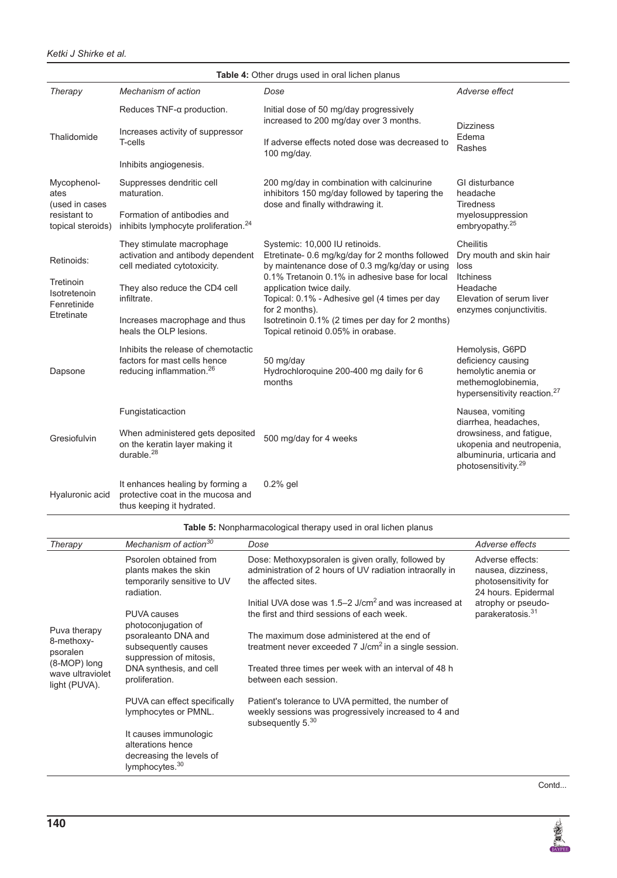lymphocytes or PMNL.

It causes immunologic alterations hence decreasing the levels of

lymphocytes.<sup>30</sup>

|                                                                       |                                                                                                                       |      | <b>rapic +.</b> Other drugs used in Oral lichen planus                                                                                        |                                                                                                                                |                                                                                                                                                                    |
|-----------------------------------------------------------------------|-----------------------------------------------------------------------------------------------------------------------|------|-----------------------------------------------------------------------------------------------------------------------------------------------|--------------------------------------------------------------------------------------------------------------------------------|--------------------------------------------------------------------------------------------------------------------------------------------------------------------|
| Therapy                                                               | Mechanism of action                                                                                                   |      | Dose                                                                                                                                          |                                                                                                                                | Adverse effect                                                                                                                                                     |
|                                                                       | Reduces TNF-a production.                                                                                             |      | Initial dose of 50 mg/day progressively<br>increased to 200 mg/day over 3 months.                                                             | Dizziness                                                                                                                      |                                                                                                                                                                    |
| Thalidomide                                                           | Increases activity of suppressor<br>T-cells                                                                           |      | If adverse effects noted dose was decreased to<br>100 mg/day.                                                                                 |                                                                                                                                | Edema<br>Rashes                                                                                                                                                    |
|                                                                       | Inhibits angiogenesis.                                                                                                |      |                                                                                                                                               |                                                                                                                                |                                                                                                                                                                    |
| Mycophenol-<br>ates<br>(used in cases                                 | Suppresses dendritic cell<br>maturation.                                                                              |      | 200 mg/day in combination with calcinurine<br>inhibitors 150 mg/day followed by tapering the<br>dose and finally withdrawing it.              |                                                                                                                                | GI disturbance<br>headache<br><b>Tiredness</b>                                                                                                                     |
| resistant to<br>topical steroids)                                     | Formation of antibodies and<br>inhibits lymphocyte proliferation. <sup>24</sup>                                       |      |                                                                                                                                               | myelosuppression<br>embryopathy. <sup>25</sup>                                                                                 |                                                                                                                                                                    |
| Retinoids:                                                            | They stimulate macrophage<br>activation and antibody dependent<br>cell mediated cytotoxicity.                         |      | Systemic: 10,000 IU retinoids.<br>Etretinate- 0.6 mg/kg/day for 2 months followed<br>by maintenance dose of 0.3 mg/kg/day or using            | loss                                                                                                                           | <b>Cheilitis</b><br>Dry mouth and skin hair                                                                                                                        |
| Tretinoin<br>Isotretenoin<br>Fenretinide                              | They also reduce the CD4 cell<br>infiltrate.                                                                          |      | 0.1% Tretanoin 0.1% in adhesive base for local<br>application twice daily.<br>Topical: 0.1% - Adhesive gel (4 times per day<br>for 2 months). |                                                                                                                                | <b>Itchiness</b><br>Headache<br>Elevation of serum liver<br>enzymes conjunctivitis.                                                                                |
| Etretinate<br>Increases macrophage and thus<br>heals the OLP lesions. |                                                                                                                       |      | Isotretinoin 0.1% (2 times per day for 2 months)<br>Topical retinoid 0.05% in orabase.                                                        |                                                                                                                                |                                                                                                                                                                    |
| Dapsone                                                               | Inhibits the release of chemotactic<br>factors for mast cells hence<br>reducing inflammation. <sup>26</sup><br>months |      | 50 mg/day<br>Hydrochloroquine 200-400 mg daily for 6                                                                                          | Hemolysis, G6PD<br>deficiency causing<br>hemolytic anemia or<br>methemoglobinemia,<br>hypersensitivity reaction. <sup>27</sup> |                                                                                                                                                                    |
| Gresiofulvin                                                          | Fungistaticaction<br>When administered gets deposited<br>on the keratin layer making it<br>durable. $^{28}$           |      | 500 mg/day for 4 weeks                                                                                                                        |                                                                                                                                | Nausea, vomiting<br>diarrhea, headaches,<br>drowsiness, and fatigue,<br>ukopenia and neutropenia,<br>albuminuria, urticaria and<br>photosensitivity. <sup>29</sup> |
| Hyaluronic acid                                                       | It enhances healing by forming a<br>protective coat in the mucosa and<br>thus keeping it hydrated.                    |      | $0.2%$ gel                                                                                                                                    |                                                                                                                                |                                                                                                                                                                    |
|                                                                       |                                                                                                                       |      | <b>Table 5:</b> Nonpharmacological therapy used in oral lichen planus                                                                         |                                                                                                                                |                                                                                                                                                                    |
| <i><u><b>I</b>herapy</u></i>                                          | Mechanism of action <sup>30</sup>                                                                                     | Dose |                                                                                                                                               |                                                                                                                                | Adverse effects                                                                                                                                                    |
|                                                                       | Psorolen obtained from<br>plants makes the skin<br>temporarily sensitive to UV<br>radiation.                          |      | Dose: Methoxypsoralen is given orally, followed by<br>administration of 2 hours of UV radiation intraorally in<br>the affected sites.         |                                                                                                                                | Adverse effects:<br>nausea, dizziness,<br>photosensitivity for<br>24 hours. Epidermal                                                                              |
|                                                                       | <b>PUVA</b> causes<br>photoconjugation of                                                                             |      | Initial UVA dose was 1.5-2 J/cm <sup>2</sup> and was increased at<br>the first and third sessions of each week.                               |                                                                                                                                | atrophy or pseudo-<br>parakeratosis. <sup>31</sup>                                                                                                                 |
| Puva therapy<br>8-methoxy-<br>psoralen                                | psoraleanto DNA and<br>subsequently causes<br>suppression of mitosis,                                                 |      | The maximum dose administered at the end of<br>treatment never exceeded $7 \text{ J/cm}^2$ in a single session.                               |                                                                                                                                |                                                                                                                                                                    |
| (8-MOP) long<br>wave ultraviolet<br>light (PUVA).                     | DNA synthesis, and cell<br>proliferation.                                                                             |      | Treated three times per week with an interval of 48 h<br>between each session.                                                                |                                                                                                                                |                                                                                                                                                                    |
|                                                                       | PUVA can effect specifically                                                                                          |      | Patient's tolerance to UVA permitted, the number of                                                                                           |                                                                                                                                |                                                                                                                                                                    |

weekly sessions was progressively increased to 4 and

subsequently 5.<sup>30</sup>

**Table 4:** Other drugs used in oral lichen planus

Contd...

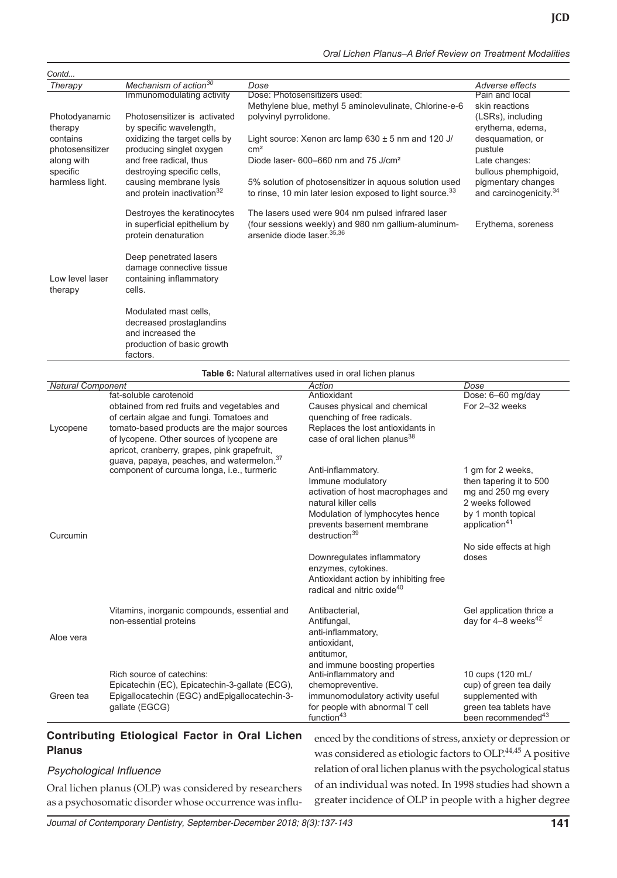| Contd                       |                                                                                                                  |                                                                                                                                         |                                                          |
|-----------------------------|------------------------------------------------------------------------------------------------------------------|-----------------------------------------------------------------------------------------------------------------------------------------|----------------------------------------------------------|
| Therapy                     | Mechanism of action <sup>30</sup>                                                                                | Dose                                                                                                                                    | Adverse effects                                          |
|                             | Immunomodulating activity                                                                                        | Dose: Photosensitizers used:                                                                                                            | Pain and local                                           |
| Photodyanamic<br>therapy    | Photosensitizer is activated<br>by specific wavelength,                                                          | Methylene blue, methyl 5 aminolevulinate, Chlorine-e-6<br>polyvinyl pyrrolidone.                                                        | skin reactions<br>(LSRs), including<br>erythema, edema,  |
| contains<br>photosensitizer | oxidizing the target cells by<br>producing singlet oxygen                                                        | Light source: Xenon arc lamp $630 \pm 5$ nm and 120 J/<br>cm <sup>2</sup>                                                               | desquamation, or<br>pustule                              |
| along with<br>specific      | and free radical, thus<br>destroying specific cells,                                                             | Diode laser- $600-660$ nm and $75$ J/cm <sup>2</sup>                                                                                    | Late changes:<br>bullous phemphigoid,                    |
| harmless light.             | causing membrane lysis<br>and protein inactivation <sup>32</sup>                                                 | 5% solution of photosensitizer in aquous solution used<br>to rinse, 10 min later lesion exposed to light source. $33$                   | pigmentary changes<br>and carcinogenicity. <sup>34</sup> |
|                             | Destroyes the keratinocytes<br>in superficial epithelium by<br>protein denaturation                              | The lasers used were 904 nm pulsed infrared laser<br>(four sessions weekly) and 980 nm gallium-aluminum-<br>arsenide diode laser. 35,36 | Erythema, soreness                                       |
| Low level laser<br>therapy  | Deep penetrated lasers<br>damage connective tissue<br>containing inflammatory<br>cells.                          |                                                                                                                                         |                                                          |
|                             | Modulated mast cells.<br>decreased prostaglandins<br>and increased the<br>production of basic growth<br>factors. |                                                                                                                                         |                                                          |

|                          |                                                                                                                                                                                                                                                                                                                         | Table 6: Natural alternatives used in oral lichen planus                                                                                                                                                                                                                                                                                    |                                                                                                                                                                                |
|--------------------------|-------------------------------------------------------------------------------------------------------------------------------------------------------------------------------------------------------------------------------------------------------------------------------------------------------------------------|---------------------------------------------------------------------------------------------------------------------------------------------------------------------------------------------------------------------------------------------------------------------------------------------------------------------------------------------|--------------------------------------------------------------------------------------------------------------------------------------------------------------------------------|
| <b>Natural Component</b> |                                                                                                                                                                                                                                                                                                                         | Action                                                                                                                                                                                                                                                                                                                                      | Dose                                                                                                                                                                           |
| Lycopene                 | fat-soluble carotenoid<br>obtained from red fruits and vegetables and<br>of certain algae and fungi. Tomatoes and<br>tomato-based products are the major sources<br>of lycopene. Other sources of lycopene are<br>apricot, cranberry, grapes, pink grapefruit,<br>guava, papaya, peaches, and watermelon. <sup>37</sup> | Antioxidant<br>Causes physical and chemical<br>quenching of free radicals.<br>Replaces the lost antioxidants in<br>case of oral lichen planus <sup>38</sup>                                                                                                                                                                                 | Dose: 6-60 mg/day<br>For 2-32 weeks                                                                                                                                            |
| Curcumin                 | component of curcuma longa, i.e., turmeric                                                                                                                                                                                                                                                                              | Anti-inflammatory.<br>Immune modulatory<br>activation of host macrophages and<br>natural killer cells<br>Modulation of lymphocytes hence<br>prevents basement membrane<br>destruction <sup>39</sup><br>Downregulates inflammatory<br>enzymes, cytokines.<br>Antioxidant action by inhibiting free<br>radical and nitric oxide <sup>40</sup> | 1 gm for 2 weeks,<br>then tapering it to 500<br>mg and 250 mg every<br>2 weeks followed<br>by 1 month topical<br>application <sup>41</sup><br>No side effects at high<br>doses |
| Aloe vera<br>Green tea   | Vitamins, inorganic compounds, essential and<br>non-essential proteins<br>Rich source of catechins:<br>Epicatechin (EC), Epicatechin-3-gallate (ECG),<br>Epigallocatechin (EGC) and Epigallocatechin-3-<br>gallate (EGCG)                                                                                               | Antibacterial,<br>Antifungal,<br>anti-inflammatory,<br>antioxidant.<br>antitumor.<br>and immune boosting properties<br>Anti-inflammatory and<br>chemopreventive.<br>immunomodulatory activity useful<br>for people with abnormal T cell                                                                                                     | Gel application thrice a<br>day for $4-8$ weeks <sup>42</sup><br>10 cups (120 mL/<br>cup) of green tea daily<br>supplemented with<br>green tea tablets have                    |

# **Contributing Etiological Factor in Oral Lichen Planus**

# Psychological Influence

Oral lichen planus (OLP) was considered by researchers as a psychosomatic disorder whose occurrence was influenced by the conditions of stress, anxiety or depression or was considered as etiologic factors to OLP.<sup>44,45</sup> A positive relation of oral lichen planus with the psychological status of an individual was noted. In 1998 studies had shown a greater incidence of OLP in people with a higher degree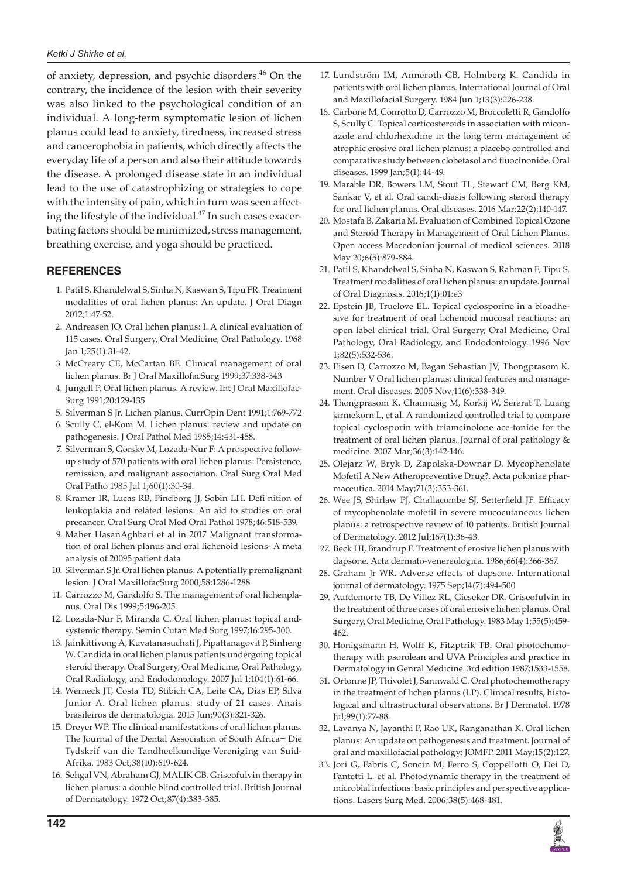of anxiety, depression, and psychic disorders. $46$  On the contrary, the incidence of the lesion with their severity was also linked to the psychological condition of an individual. A long-term symptomatic lesion of lichen planus could lead to anxiety, tiredness, increased stress and cancerophobia in patients, which directly affects the everyday life of a person and also their attitude towards the disease. A prolonged disease state in an individual lead to the use of catastrophizing or strategies to cope with the intensity of pain, which in turn was seen affecting the lifestyle of the individual. $47$  In such cases exacerbating factors should be minimized, stress management, breathing exercise, and yoga should be practiced.

## **REFERENCES**

- 1. Patil S, Khandelwal S, Sinha N, Kaswan S, Tipu FR. Treatment modalities of oral lichen planus: An update. J Oral Diagn 2012;1:47-52.
- 2. Andreasen JO. Oral lichen planus: I. A clinical evaluation of 115 cases. Oral Surgery, Oral Medicine, Oral Pathology. 1968 Jan 1;25(1):31-42.
- 3. McCreary CE, McCartan BE. Clinical management of oral lichen planus. Br J Oral MaxillofacSurg 1999;37:338-343
- 4. Jungell P. Oral lichen planus. A review. Int J Oral Maxillofac-Surg 1991;20:129-135
- 5. Silverman S Jr. Lichen planus. CurrOpin Dent 1991;1:769-772
- 6. Scully C, el-Kom M. Lichen planus: review and update on pathogenesis. J Oral Pathol Med 1985;14:431-458.
- 7. Silverman S, Gorsky M, Lozada-Nur F: A prospective followup study of 570 patients with oral lichen planus: Persistence, remission, and malignant association. Oral Surg Oral Med Oral Patho 1985 Jul 1;60(1):30-34.
- 8. Kramer IR, Lucas RB, Pindborg JJ, Sobin LH. Defi nition of leukoplakia and related lesions: An aid to studies on oral precancer. Oral Surg Oral Med Oral Pathol 1978;46:518-539.
- 9. Maher HasanAghbari et al in 2017 Malignant transformation of oral lichen planus and oral lichenoid lesions- A meta analysis of 20095 patient data
- 10. Silverman S Jr. Oral lichen planus: A potentially premalignant lesion. J Oral MaxillofacSurg 2000;58:1286-1288
- 11. Carrozzo M, Gandolfo S. The management of oral lichenplanus. Oral Dis 1999;5:196-205.
- 12. Lozada-Nur F, Miranda C. Oral lichen planus: topical andsystemic therapy. Semin Cutan Med Surg 1997;16:295-300.
- 13. Jainkittivong A, Kuvatanasuchati J, Pipattanagovit P, Sinheng W. Candida in oral lichen planus patients undergoing topical steroid therapy. Oral Surgery, Oral Medicine, Oral Pathology, Oral Radiology, and Endodontology. 2007 Jul 1;104(1):61-66.
- 14. Werneck JT, Costa TD, Stibich CA, Leite CA, Dias EP, Silva Junior A. Oral lichen planus: study of 21 cases. Anais brasileiros de dermatologia. 2015 Jun;90(3):321-326.
- 15. Dreyer WP. The clinical manifestations of oral lichen planus. The Journal of the Dental Association of South Africa= Die Tydskrif van die Tandheelkundige Vereniging van Suid-Afrika. 1983 Oct;38(10):619-624.
- 16. Sehgal VN, Abraham GJ, MALIK GB. Griseofulvin therapy in lichen planus: a double blind controlled trial. British Journal of Dermatology. 1972 Oct;87(4):383-385.
- 17. Lundström IM, Anneroth GB, Holmberg K. Candida in patients with oral lichen planus. International Journal of Oral and Maxillofacial Surgery. 1984 Jun 1;13(3):226-238.
- 18. Carbone M, Conrotto D, Carrozzo M, Broccoletti R, Gandolfo S, Scully C. Topical corticosteroids in association with miconazole and chlorhexidine in the long term management of atrophic erosive oral lichen planus: a placebo controlled and comparative study between clobetasol and fluocinonide. Oral diseases. 1999 Jan;5(1):44-49.
- 19. Marable DR, Bowers LM, Stout TL, Stewart CM, Berg KM, Sankar V, et al. Oral candi-diasis following steroid therapy for oral lichen planus. Oral diseases. 2016 Mar;22(2):140-147.
- 20. Mostafa B, Zakaria M. Evaluation of Combined Topical Ozone and Steroid Therapy in Management of Oral Lichen Planus. Open access Macedonian journal of medical sciences. 2018 May 20;6(5):879-884.
- 21. Patil S, Khandelwal S, Sinha N, Kaswan S, Rahman F, Tipu S. Treatment modalities of oral lichen planus: an update. Journal of Oral Diagnosis. 2016;1(1):01:e3
- 22. Epstein JB, Truelove EL. Topical cyclosporine in a bioadhesive for treatment of oral lichenoid mucosal reactions: an open label clinical trial. Oral Surgery, Oral Medicine, Oral Pathology, Oral Radiology, and Endodontology. 1996 Nov 1;82(5):532-536.
- 23. Eisen D, Carrozzo M, Bagan Sebastian JV, Thongprasom K. Number V Oral lichen planus: clinical features and management. Oral diseases. 2005 Nov;11(6):338-349.
- 24. Thongprasom K, Chaimusig M, Korkij W, Sererat T, Luang jarmekorn L, et al. A randomized controlled trial to compare topical cyclosporin with triamcinolone ace-tonide for the treatment of oral lichen planus. Journal of oral pathology & medicine. 2007 Mar;36(3):142-146.
- 25. Olejarz W, Bryk D, Zapolska-Downar D. Mycophenolate Mofetil A New Atheropreventive Drug?. Acta poloniae pharmaceutica. 2014 May;71(3):353-361.
- 26. Wee JS, Shirlaw PJ, Challacombe SJ, Setterfield JF. Efficacy of mycophenolate mofetil in severe mucocutaneous lichen planus: a retrospective review of 10 patients. British Journal of Dermatology. 2012 Jul;167(1):36-43.
- 27. Beck HI, Brandrup F. Treatment of erosive lichen planus with dapsone. Acta dermato-venereologica. 1986;66(4):366-367.
- 28. Graham Jr WR. Adverse effects of dapsone. International journal of dermatology. 1975 Sep;14(7):494-500
- 29. Aufdemorte TB, De Villez RL, Gieseker DR. Griseofulvin in the treatment of three cases of oral erosive lichen planus. Oral Surgery, Oral Medicine, Oral Pathology. 1983 May 1;55(5):459- 462.
- 30. Honigsmann H, Wolff K, Fitzptrik TB. Oral photochemotherapy with psorolean and UVA Principles and practice in Dermatology in Genral Medicine. 3rd edition 1987;1533-1558.
- 31. Ortonne JP, Thivolet J, Sannwald C. Oral photochemotherapy in the treatment of lichen planus (LP). Clinical results, histological and ultrastructural observations. Br J Dermatol. 1978 Jul;99(1):77-88.
- 32. Lavanya N, Jayanthi P, Rao UK, Ranganathan K. Oral lichen planus: An update on pathogenesis and treatment. Journal of oral and maxillofacial pathology: JOMFP. 2011 May;15(2):127.
- 33. Jori G, Fabris C, Soncin M, Ferro S, Coppellotti O, Dei D, Fantetti L. et al. Photodynamic therapy in the treatment of microbial infections: basic principles and perspective applications. Lasers Surg Med. 2006;38(5):468-481.